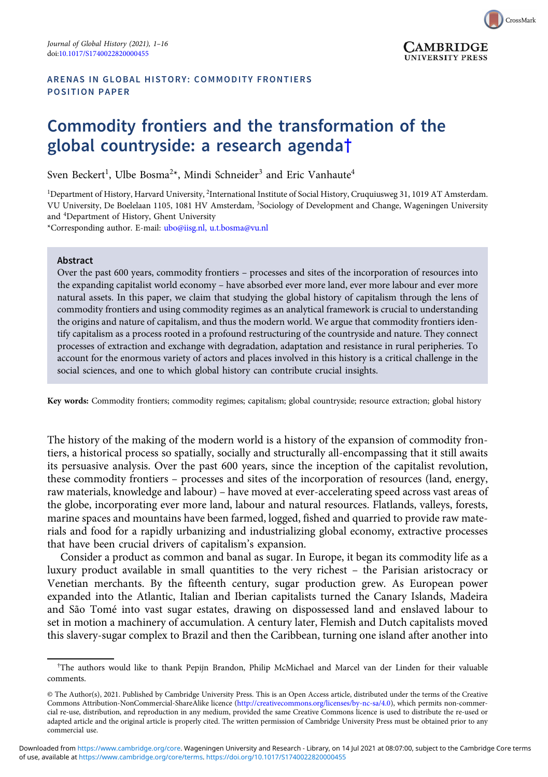

# Commodity frontiers and the transformation of the global countryside: a research agenda†

Sven Beckert<sup>1</sup>, Ulbe Bosma<sup>2</sup>\*, Mindi Schneider<sup>3</sup> and Eric Vanhaute<sup>4</sup>

<sup>1</sup>Department of History, Harvard University, <sup>2</sup>International Institute of Social History, Cruquiusweg 31, 1019 AT Amsterdam. VU University, De Boelelaan 1105, 1081 HV Amsterdam, <sup>3</sup>Sociology of Development and Change, Wageningen University and <sup>4</sup> Department of History, Ghent University

CrossMark

CAMBRIDGE **UNIVERSITY PRESS** 

\*Corresponding author. E-mail: [ubo@iisg.nl, u.t.bosma@vu.nl](mailto:ubo@iisg.nl, u.t.bosma@vu.nl)

#### Abstract

Over the past 600 years, commodity frontiers – processes and sites of the incorporation of resources into the expanding capitalist world economy – have absorbed ever more land, ever more labour and ever more natural assets. In this paper, we claim that studying the global history of capitalism through the lens of commodity frontiers and using commodity regimes as an analytical framework is crucial to understanding the origins and nature of capitalism, and thus the modern world. We argue that commodity frontiers identify capitalism as a process rooted in a profound restructuring of the countryside and nature. They connect processes of extraction and exchange with degradation, adaptation and resistance in rural peripheries. To account for the enormous variety of actors and places involved in this history is a critical challenge in the social sciences, and one to which global history can contribute crucial insights.

Key words: Commodity frontiers; commodity regimes; capitalism; global countryside; resource extraction; global history

The history of the making of the modern world is a history of the expansion of commodity frontiers, a historical process so spatially, socially and structurally all-encompassing that it still awaits its persuasive analysis. Over the past 600 years, since the inception of the capitalist revolution, these commodity frontiers – processes and sites of the incorporation of resources (land, energy, raw materials, knowledge and labour) – have moved at ever-accelerating speed across vast areas of the globe, incorporating ever more land, labour and natural resources. Flatlands, valleys, forests, marine spaces and mountains have been farmed, logged, fished and quarried to provide raw materials and food for a rapidly urbanizing and industrializing global economy, extractive processes that have been crucial drivers of capitalism's expansion.

Consider a product as common and banal as sugar. In Europe, it began its commodity life as a luxury product available in small quantities to the very richest – the Parisian aristocracy or Venetian merchants. By the fifteenth century, sugar production grew. As European power expanded into the Atlantic, Italian and Iberian capitalists turned the Canary Islands, Madeira and São Tomé into vast sugar estates, drawing on dispossessed land and enslaved labour to set in motion a machinery of accumulation. A century later, Flemish and Dutch capitalists moved this slavery-sugar complex to Brazil and then the Caribbean, turning one island after another into

<sup>†</sup> The authors would like to thank Pepijn Brandon, Philip McMichael and Marcel van der Linden for their valuable comments.

<sup>©</sup> The Author(s), 2021. Published by Cambridge University Press. This is an Open Access article, distributed under the terms of the Creative Commons Attribution-NonCommercial-ShareAlike licence ([http://creativecommons.org/licenses/by-nc-sa/4.0\)](http://creativecommons.org/licenses/by-nc-sa/4.0), which permits non-commercial re-use, distribution, and reproduction in any medium, provided the same Creative Commons licence is used to distribute the re-used or adapted article and the original article is properly cited. The written permission of Cambridge University Press must be obtained prior to any commercial use.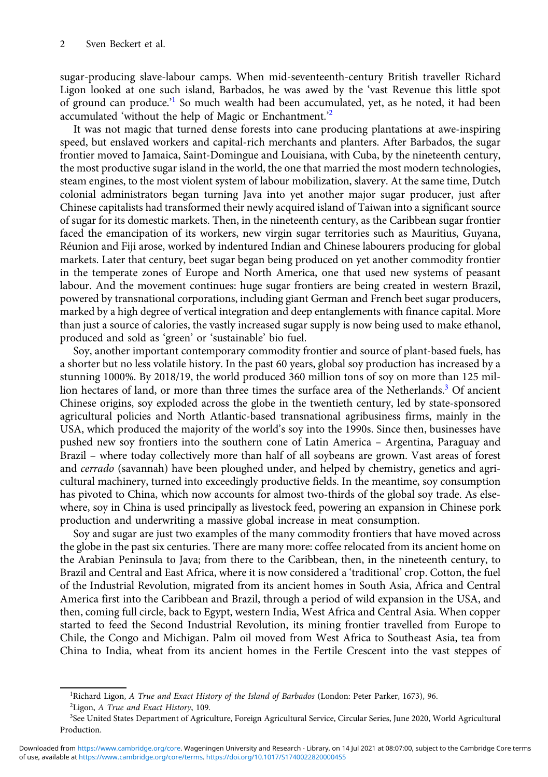sugar-producing slave-labour camps. When mid-seventeenth-century British traveller Richard Ligon looked at one such island, Barbados, he was awed by the 'vast Revenue this little spot of ground can produce.<sup>21</sup> So much wealth had been accumulated, yet, as he noted, it had been accumulated 'without the help of Magic or Enchantment.<sup>22</sup>

It was not magic that turned dense forests into cane producing plantations at awe-inspiring speed, but enslaved workers and capital-rich merchants and planters. After Barbados, the sugar frontier moved to Jamaica, Saint-Domingue and Louisiana, with Cuba, by the nineteenth century, the most productive sugar island in the world, the one that married the most modern technologies, steam engines, to the most violent system of labour mobilization, slavery. At the same time, Dutch colonial administrators began turning Java into yet another major sugar producer, just after Chinese capitalists had transformed their newly acquired island of Taiwan into a significant source of sugar for its domestic markets. Then, in the nineteenth century, as the Caribbean sugar frontier faced the emancipation of its workers, new virgin sugar territories such as Mauritius, Guyana, Réunion and Fiji arose, worked by indentured Indian and Chinese labourers producing for global markets. Later that century, beet sugar began being produced on yet another commodity frontier in the temperate zones of Europe and North America, one that used new systems of peasant labour. And the movement continues: huge sugar frontiers are being created in western Brazil, powered by transnational corporations, including giant German and French beet sugar producers, marked by a high degree of vertical integration and deep entanglements with finance capital. More than just a source of calories, the vastly increased sugar supply is now being used to make ethanol, produced and sold as 'green' or 'sustainable' bio fuel.

Soy, another important contemporary commodity frontier and source of plant-based fuels, has a shorter but no less volatile history. In the past 60 years, global soy production has increased by a stunning 1000%. By 2018/19, the world produced 360 million tons of soy on more than 125 million hectares of land, or more than three times the surface area of the Netherlands.<sup>3</sup> Of ancient Chinese origins, soy exploded across the globe in the twentieth century, led by state-sponsored agricultural policies and North Atlantic-based transnational agribusiness firms, mainly in the USA, which produced the majority of the world's soy into the 1990s. Since then, businesses have pushed new soy frontiers into the southern cone of Latin America – Argentina, Paraguay and Brazil – where today collectively more than half of all soybeans are grown. Vast areas of forest and *cerrado* (savannah) have been ploughed under, and helped by chemistry, genetics and agricultural machinery, turned into exceedingly productive fields. In the meantime, soy consumption has pivoted to China, which now accounts for almost two-thirds of the global soy trade. As elsewhere, soy in China is used principally as livestock feed, powering an expansion in Chinese pork production and underwriting a massive global increase in meat consumption.

Soy and sugar are just two examples of the many commodity frontiers that have moved across the globe in the past six centuries. There are many more: coffee relocated from its ancient home on the Arabian Peninsula to Java; from there to the Caribbean, then, in the nineteenth century, to Brazil and Central and East Africa, where it is now considered a 'traditional' crop. Cotton, the fuel of the Industrial Revolution, migrated from its ancient homes in South Asia, Africa and Central America first into the Caribbean and Brazil, through a period of wild expansion in the USA, and then, coming full circle, back to Egypt, western India, West Africa and Central Asia. When copper started to feed the Second Industrial Revolution, its mining frontier travelled from Europe to Chile, the Congo and Michigan. Palm oil moved from West Africa to Southeast Asia, tea from China to India, wheat from its ancient homes in the Fertile Crescent into the vast steppes of

<sup>&</sup>lt;sup>1</sup>Richard Ligon, A True and Exact History of the Island of Barbados (London: Peter Parker, 1673), 96. <sup>2</sup>Ligon, A True and Exact History, 109.

<sup>3</sup> See United States Department of Agriculture, Foreign Agricultural Service, Circular Series, June 2020, World Agricultural Production.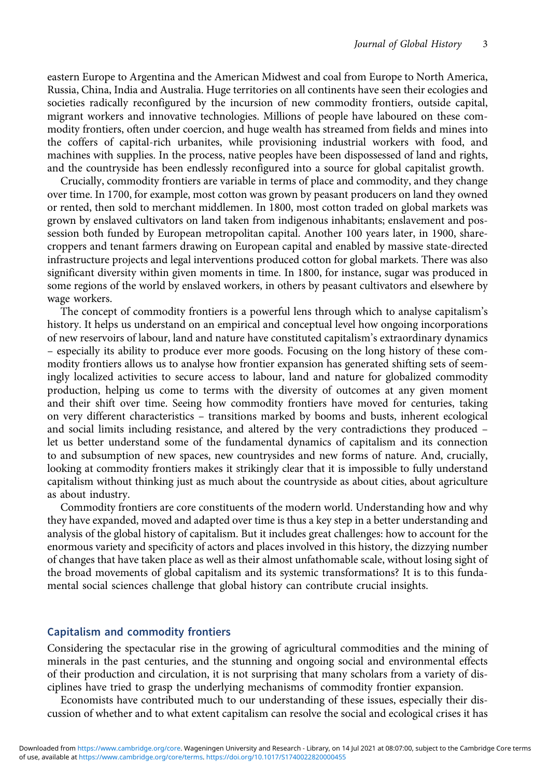eastern Europe to Argentina and the American Midwest and coal from Europe to North America, Russia, China, India and Australia. Huge territories on all continents have seen their ecologies and societies radically reconfigured by the incursion of new commodity frontiers, outside capital, migrant workers and innovative technologies. Millions of people have laboured on these commodity frontiers, often under coercion, and huge wealth has streamed from fields and mines into the coffers of capital-rich urbanites, while provisioning industrial workers with food, and machines with supplies. In the process, native peoples have been dispossessed of land and rights, and the countryside has been endlessly reconfigured into a source for global capitalist growth.

Crucially, commodity frontiers are variable in terms of place and commodity, and they change over time. In 1700, for example, most cotton was grown by peasant producers on land they owned or rented, then sold to merchant middlemen. In 1800, most cotton traded on global markets was grown by enslaved cultivators on land taken from indigenous inhabitants; enslavement and possession both funded by European metropolitan capital. Another 100 years later, in 1900, sharecroppers and tenant farmers drawing on European capital and enabled by massive state-directed infrastructure projects and legal interventions produced cotton for global markets. There was also significant diversity within given moments in time. In 1800, for instance, sugar was produced in some regions of the world by enslaved workers, in others by peasant cultivators and elsewhere by wage workers.

The concept of commodity frontiers is a powerful lens through which to analyse capitalism's history. It helps us understand on an empirical and conceptual level how ongoing incorporations of new reservoirs of labour, land and nature have constituted capitalism's extraordinary dynamics – especially its ability to produce ever more goods. Focusing on the long history of these commodity frontiers allows us to analyse how frontier expansion has generated shifting sets of seemingly localized activities to secure access to labour, land and nature for globalized commodity production, helping us come to terms with the diversity of outcomes at any given moment and their shift over time. Seeing how commodity frontiers have moved for centuries, taking on very different characteristics – transitions marked by booms and busts, inherent ecological and social limits including resistance, and altered by the very contradictions they produced – let us better understand some of the fundamental dynamics of capitalism and its connection to and subsumption of new spaces, new countrysides and new forms of nature. And, crucially, looking at commodity frontiers makes it strikingly clear that it is impossible to fully understand capitalism without thinking just as much about the countryside as about cities, about agriculture as about industry.

Commodity frontiers are core constituents of the modern world. Understanding how and why they have expanded, moved and adapted over time is thus a key step in a better understanding and analysis of the global history of capitalism. But it includes great challenges: how to account for the enormous variety and specificity of actors and places involved in this history, the dizzying number of changes that have taken place as well as their almost unfathomable scale, without losing sight of the broad movements of global capitalism and its systemic transformations? It is to this fundamental social sciences challenge that global history can contribute crucial insights.

### Capitalism and commodity frontiers

Considering the spectacular rise in the growing of agricultural commodities and the mining of minerals in the past centuries, and the stunning and ongoing social and environmental effects of their production and circulation, it is not surprising that many scholars from a variety of disciplines have tried to grasp the underlying mechanisms of commodity frontier expansion.

Economists have contributed much to our understanding of these issues, especially their discussion of whether and to what extent capitalism can resolve the social and ecological crises it has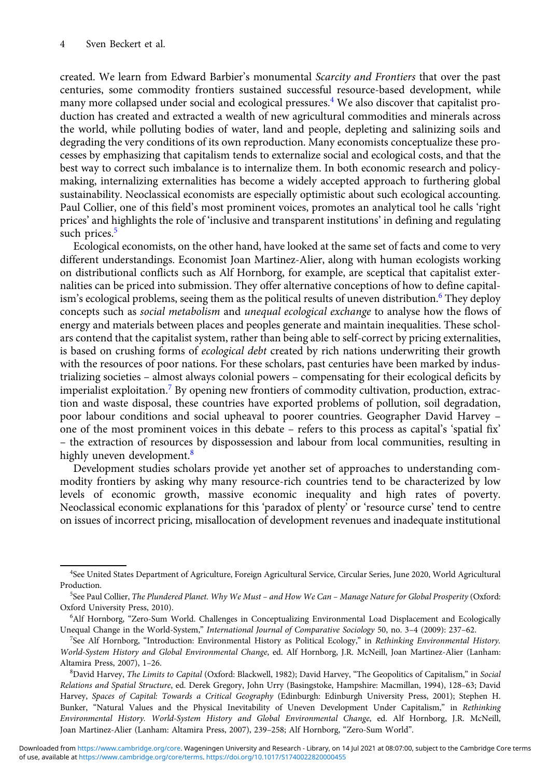created. We learn from Edward Barbier's monumental Scarcity and Frontiers that over the past centuries, some commodity frontiers sustained successful resource-based development, while many more collapsed under social and ecological pressures.<sup>4</sup> We also discover that capitalist production has created and extracted a wealth of new agricultural commodities and minerals across the world, while polluting bodies of water, land and people, depleting and salinizing soils and degrading the very conditions of its own reproduction. Many economists conceptualize these processes by emphasizing that capitalism tends to externalize social and ecological costs, and that the best way to correct such imbalance is to internalize them. In both economic research and policymaking, internalizing externalities has become a widely accepted approach to furthering global sustainability. Neoclassical economists are especially optimistic about such ecological accounting. Paul Collier, one of this field's most prominent voices, promotes an analytical tool he calls 'right prices' and highlights the role of 'inclusive and transparent institutions' in defining and regulating such prices.<sup>5</sup>

Ecological economists, on the other hand, have looked at the same set of facts and come to very different understandings. Economist Joan Martinez-Alier, along with human ecologists working on distributional conflicts such as Alf Hornborg, for example, are sceptical that capitalist externalities can be priced into submission. They offer alternative conceptions of how to define capitalism's ecological problems, seeing them as the political results of uneven distribution.<sup>6</sup> They deploy concepts such as social metabolism and unequal ecological exchange to analyse how the flows of energy and materials between places and peoples generate and maintain inequalities. These scholars contend that the capitalist system, rather than being able to self-correct by pricing externalities, is based on crushing forms of ecological debt created by rich nations underwriting their growth with the resources of poor nations. For these scholars, past centuries have been marked by industrializing societies – almost always colonial powers – compensating for their ecological deficits by imperialist exploitation.<sup>7</sup> By opening new frontiers of commodity cultivation, production, extraction and waste disposal, these countries have exported problems of pollution, soil degradation, poor labour conditions and social upheaval to poorer countries. Geographer David Harvey – one of the most prominent voices in this debate - refers to this process as capital's 'spatial fix' – the extraction of resources by dispossession and labour from local communities, resulting in highly uneven development.<sup>8</sup>

Development studies scholars provide yet another set of approaches to understanding commodity frontiers by asking why many resource-rich countries tend to be characterized by low levels of economic growth, massive economic inequality and high rates of poverty. Neoclassical economic explanations for this 'paradox of plenty' or 'resource curse' tend to centre on issues of incorrect pricing, misallocation of development revenues and inadequate institutional

<sup>4</sup> See United States Department of Agriculture, Foreign Agricultural Service, Circular Series, June 2020, World Agricultural Production.

<sup>5</sup> See Paul Collier, The Plundered Planet. Why We Must – and How We Can – Manage Nature for Global Prosperity (Oxford: Oxford University Press, 2010).

<sup>6</sup> Alf Hornborg, "Zero-Sum World. Challenges in Conceptualizing Environmental Load Displacement and Ecologically Unequal Change in the World-System," International Journal of Comparative Sociology 50, no. 3–4 (2009): 237–62.

<sup>&</sup>lt;sup>7</sup>See Alf Hornborg, "Introduction: Environmental History as Political Ecology," in Rethinking Environmental History. World-System History and Global Environmental Change, ed. Alf Hornborg, J.R. McNeill, Joan Martinez-Alier (Lanham: Altamira Press, 2007), 1–26.

<sup>&</sup>lt;sup>8</sup>David Harvey, The Limits to Capital (Oxford: Blackwell, 1982); David Harvey, "The Geopolitics of Capitalism," in Social Relations and Spatial Structure, ed. Derek Gregory, John Urry (Basingstoke, Hampshire: Macmillan, 1994), 128–63; David Harvey, Spaces of Capital: Towards a Critical Geography (Edinburgh: Edinburgh University Press, 2001); Stephen H. Bunker, "Natural Values and the Physical Inevitability of Uneven Development Under Capitalism," in Rethinking Environmental History. World-System History and Global Environmental Change, ed. Alf Hornborg, J.R. McNeill, Joan Martinez-Alier (Lanham: Altamira Press, 2007), 239–258; Alf Hornborg, "Zero-Sum World".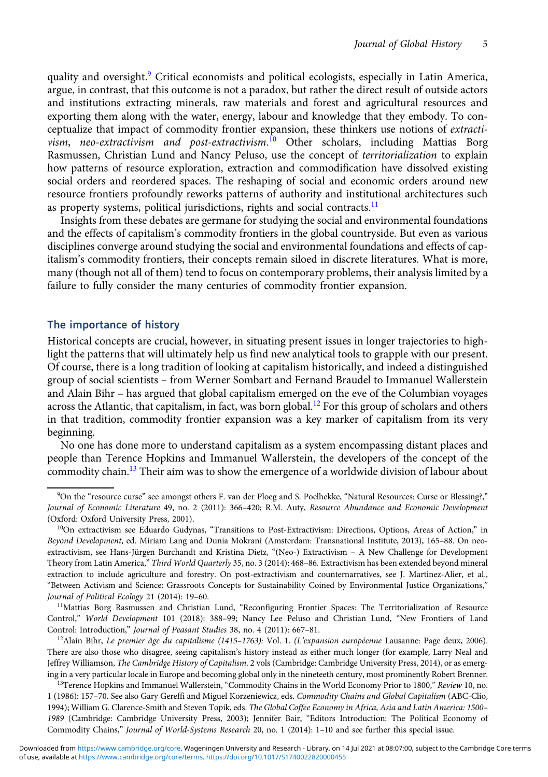quality and oversight.<sup>9</sup> Critical economists and political ecologists, especially in Latin America, argue, in contrast, that this outcome is not a paradox, but rather the direct result of outside actors and institutions extracting minerals, raw materials and forest and agricultural resources and exporting them along with the water, energy, labour and knowledge that they embody. To conceptualize that impact of commodity frontier expansion, these thinkers use notions of extractivism, neo-extractivism and post-extractivism.<sup>10</sup> Other scholars, including Mattias Borg Rasmussen, Christian Lund and Nancy Peluso, use the concept of territorialization to explain how patterns of resource exploration, extraction and commodification have dissolved existing social orders and reordered spaces. The reshaping of social and economic orders around new resource frontiers profoundly reworks patterns of authority and institutional architectures such as property systems, political jurisdictions, rights and social contracts.<sup>11</sup>

Insights from these debates are germane for studying the social and environmental foundations and the effects of capitalism's commodity frontiers in the global countryside. But even as various disciplines converge around studying the social and environmental foundations and effects of capitalism's commodity frontiers, their concepts remain siloed in discrete literatures. What is more, many (though not all of them) tend to focus on contemporary problems, their analysis limited by a failure to fully consider the many centuries of commodity frontier expansion.

#### The importance of history

Historical concepts are crucial, however, in situating present issues in longer trajectories to highlight the patterns that will ultimately help us find new analytical tools to grapple with our present. Of course, there is a long tradition of looking at capitalism historically, and indeed a distinguished group of social scientists – from Werner Sombart and Fernand Braudel to Immanuel Wallerstein and Alain Bihr – has argued that global capitalism emerged on the eve of the Columbian voyages across the Atlantic, that capitalism, in fact, was born global.<sup>12</sup> For this group of scholars and others in that tradition, commodity frontier expansion was a key marker of capitalism from its very beginning.

No one has done more to understand capitalism as a system encompassing distant places and people than Terence Hopkins and Immanuel Wallerstein, the developers of the concept of the commodity chain.<sup>13</sup> Their aim was to show the emergence of a worldwide division of labour about

<sup>11</sup>Mattias Borg Rasmussen and Christian Lund, "Reconfiguring Frontier Spaces: The Territorialization of Resource Control," World Development 101 (2018): 388–99; Nancy Lee Peluso and Christian Lund, "New Frontiers of Land Control: Introduction," Journal of Peasant Studies 38, no. 4 (2011): 667–81.

<sup>12</sup>Alain Bihr, Le premier âge du capitalisme (1415–1763): Vol. 1. (L'expansion européenne Lausanne: Page deux, 2006). There are also those who disagree, seeing capitalism's history instead as either much longer (for example, Larry Neal and Jeffrey Williamson, The Cambridge History of Capitalism. 2 vols (Cambridge: Cambridge University Press, 2014), or as emerging in a very particular locale in Europe and becoming global only in the nineteeth century, most prominently Robert Brenner.

<sup>13</sup>Terence Hopkins and Immanuel Wallerstein, "Commodity Chains in the World Economy Prior to 1800," Review 10, no. 1 (1986): 157–70. See also Gary Gereffi and Miguel Korzeniewicz, eds. Commodity Chains and Global Capitalism (ABC-Clio, 1994); William G. Clarence-Smith and Steven Topik, eds. The Global Coffee Economy in Africa, Asia and Latin America: 1500– 1989 (Cambridge: Cambridge University Press, 2003); Jennifer Bair, "Editors Introduction: The Political Economy of Commodity Chains," Journal of World-Systems Research 20, no. 1 (2014): 1–10 and see further this special issue.

<sup>9</sup> On the "resource curse" see amongst others F. van der Ploeg and S. Poelhekke, "Natural Resources: Curse or Blessing?," Journal of Economic Literature 49, no. 2 (2011): 366–420; R.M. Auty, Resource Abundance and Economic Development (Oxford: Oxford University Press, 2001).

<sup>&</sup>lt;sup>10</sup>On extractivism see Eduardo Gudynas, "Transitions to Post-Extractivism: Directions, Options, Areas of Action," in Beyond Development, ed. Miriam Lang and Dunia Mokrani (Amsterdam: Transnational Institute, 2013), 165–88. On neoextractivism, see Hans-Jürgen Burchandt and Kristina Dietz, "(Neo-) Extractivism – A New Challenge for Development Theory from Latin America," Third World Quarterly 35, no. 3 (2014): 468–86. Extractivism has been extended beyond mineral extraction to include agriculture and forestry. On post-extractivism and counternarratives, see J. Martinez-Alier, et al., "Between Activism and Science: Grassroots Concepts for Sustainability Coined by Environmental Justice Organizations," Journal of Political Ecology 21 (2014): 19–60.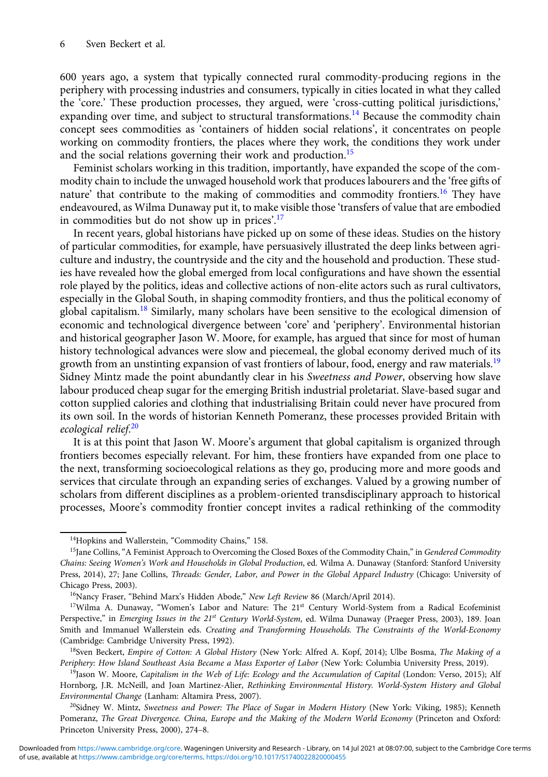600 years ago, a system that typically connected rural commodity-producing regions in the periphery with processing industries and consumers, typically in cities located in what they called the 'core.' These production processes, they argued, were 'cross-cutting political jurisdictions,' expanding over time, and subject to structural transformations.<sup>14</sup> Because the commodity chain concept sees commodities as 'containers of hidden social relations', it concentrates on people working on commodity frontiers, the places where they work, the conditions they work under and the social relations governing their work and production.<sup>15</sup>

Feminist scholars working in this tradition, importantly, have expanded the scope of the commodity chain to include the unwaged household work that produces labourers and the 'free gifts of nature' that contribute to the making of commodities and commodity frontiers.<sup>16</sup> They have endeavoured, as Wilma Dunaway put it, to make visible those 'transfers of value that are embodied in commodities but do not show up in prices'.<sup>17</sup>

In recent years, global historians have picked up on some of these ideas. Studies on the history of particular commodities, for example, have persuasively illustrated the deep links between agriculture and industry, the countryside and the city and the household and production. These studies have revealed how the global emerged from local configurations and have shown the essential role played by the politics, ideas and collective actions of non-elite actors such as rural cultivators, especially in the Global South, in shaping commodity frontiers, and thus the political economy of global capitalism.<sup>18</sup> Similarly, many scholars have been sensitive to the ecological dimension of economic and technological divergence between 'core' and 'periphery'. Environmental historian and historical geographer Jason W. Moore, for example, has argued that since for most of human history technological advances were slow and piecemeal, the global economy derived much of its growth from an unstinting expansion of vast frontiers of labour, food, energy and raw materials.<sup>19</sup> Sidney Mintz made the point abundantly clear in his Sweetness and Power, observing how slave labour produced cheap sugar for the emerging British industrial proletariat. Slave-based sugar and cotton supplied calories and clothing that industrialising Britain could never have procured from its own soil. In the words of historian Kenneth Pomeranz, these processes provided Britain with ecological relief.<sup>20</sup>

It is at this point that Jason W. Moore's argument that global capitalism is organized through frontiers becomes especially relevant. For him, these frontiers have expanded from one place to the next, transforming socioecological relations as they go, producing more and more goods and services that circulate through an expanding series of exchanges. Valued by a growing number of scholars from different disciplines as a problem-oriented transdisciplinary approach to historical processes, Moore's commodity frontier concept invites a radical rethinking of the commodity

<sup>&</sup>lt;sup>14</sup>Hopkins and Wallerstein, "Commodity Chains," 158.

<sup>&</sup>lt;sup>15</sup>Jane Collins, "A Feminist Approach to Overcoming the Closed Boxes of the Commodity Chain," in Gendered Commodity Chains: Seeing Women's Work and Households in Global Production, ed. Wilma A. Dunaway (Stanford: Stanford University Press, 2014), 27; Jane Collins, Threads: Gender, Labor, and Power in the Global Apparel Industry (Chicago: University of Chicago Press, 2003).

<sup>&</sup>lt;sup>16</sup>Nancy Fraser, "Behind Marx's Hidden Abode," New Left Review 86 (March/April 2014).

<sup>&</sup>lt;sup>17</sup>Wilma A. Dunaway, "Women's Labor and Nature: The 21<sup>st</sup> Century World-System from a Radical Ecofeminist Perspective," in Emerging Issues in the 21st Century World-System, ed. Wilma Dunaway (Praeger Press, 2003), 189. Joan Smith and Immanuel Wallerstein eds. Creating and Transforming Households. The Constraints of the World-Economy (Cambridge: Cambridge University Press, 1992).

<sup>&</sup>lt;sup>18</sup>Sven Beckert, Empire of Cotton: A Global History (New York: Alfred A. Kopf, 2014); Ulbe Bosma, The Making of a Periphery: How Island Southeast Asia Became a Mass Exporter of Labor (New York: Columbia University Press, 2019).

<sup>&</sup>lt;sup>19</sup>Jason W. Moore, Capitalism in the Web of Life: Ecology and the Accumulation of Capital (London: Verso, 2015); Alf Hornborg, J.R. McNeill, and Joan Martinez-Alier, Rethinking Environmental History. World-System History and Global Environmental Change (Lanham: Altamira Press, 2007).

<sup>&</sup>lt;sup>20</sup>Sidney W. Mintz, Sweetness and Power: The Place of Sugar in Modern History (New York: Viking, 1985); Kenneth Pomeranz, The Great Divergence. China, Europe and the Making of the Modern World Economy (Princeton and Oxford: Princeton University Press, 2000), 274–8.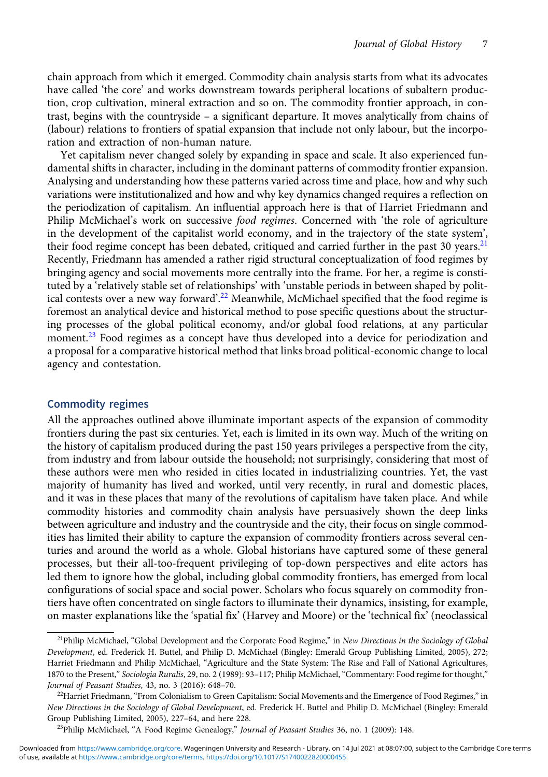chain approach from which it emerged. Commodity chain analysis starts from what its advocates have called 'the core' and works downstream towards peripheral locations of subaltern production, crop cultivation, mineral extraction and so on. The commodity frontier approach, in contrast, begins with the countryside – a significant departure. It moves analytically from chains of (labour) relations to frontiers of spatial expansion that include not only labour, but the incorporation and extraction of non-human nature.

Yet capitalism never changed solely by expanding in space and scale. It also experienced fundamental shifts in character, including in the dominant patterns of commodity frontier expansion. Analysing and understanding how these patterns varied across time and place, how and why such variations were institutionalized and how and why key dynamics changed requires a reflection on the periodization of capitalism. An influential approach here is that of Harriet Friedmann and Philip McMichael's work on successive food regimes. Concerned with 'the role of agriculture in the development of the capitalist world economy, and in the trajectory of the state system', their food regime concept has been debated, critiqued and carried further in the past 30 years.<sup>21</sup> Recently, Friedmann has amended a rather rigid structural conceptualization of food regimes by bringing agency and social movements more centrally into the frame. For her, a regime is constituted by a 'relatively stable set of relationships' with 'unstable periods in between shaped by political contests over a new way forward'.<sup>22</sup> Meanwhile, McMichael specified that the food regime is foremost an analytical device and historical method to pose specific questions about the structuring processes of the global political economy, and/or global food relations, at any particular moment.<sup>23</sup> Food regimes as a concept have thus developed into a device for periodization and a proposal for a comparative historical method that links broad political-economic change to local agency and contestation.

### Commodity regimes

All the approaches outlined above illuminate important aspects of the expansion of commodity frontiers during the past six centuries. Yet, each is limited in its own way. Much of the writing on the history of capitalism produced during the past 150 years privileges a perspective from the city, from industry and from labour outside the household; not surprisingly, considering that most of these authors were men who resided in cities located in industrializing countries. Yet, the vast majority of humanity has lived and worked, until very recently, in rural and domestic places, and it was in these places that many of the revolutions of capitalism have taken place. And while commodity histories and commodity chain analysis have persuasively shown the deep links between agriculture and industry and the countryside and the city, their focus on single commodities has limited their ability to capture the expansion of commodity frontiers across several centuries and around the world as a whole. Global historians have captured some of these general processes, but their all-too-frequent privileging of top-down perspectives and elite actors has led them to ignore how the global, including global commodity frontiers, has emerged from local configurations of social space and social power. Scholars who focus squarely on commodity frontiers have often concentrated on single factors to illuminate their dynamics, insisting, for example, on master explanations like the 'spatial fix' (Harvey and Moore) or the 'technical fix' (neoclassical

 $^{21}$ Philip McMichael, "Global Development and the Corporate Food Regime," in New Directions in the Sociology of Global Development, ed. Frederick H. Buttel, and Philip D. McMichael (Bingley: Emerald Group Publishing Limited, 2005), 272; Harriet Friedmann and Philip McMichael, "Agriculture and the State System: The Rise and Fall of National Agricultures, 1870 to the Present," Sociologia Ruralis, 29, no. 2 (1989): 93–117; Philip McMichael, "Commentary: Food regime for thought," Journal of Peasant Studies, 43, no. 3 (2016): 648–70.

 $^{22}$ Harriet Friedmann, "From Colonialism to Green Capitalism: Social Movements and the Emergence of Food Regimes," in New Directions in the Sociology of Global Development, ed. Frederick H. Buttel and Philip D. McMichael (Bingley: Emerald Group Publishing Limited, 2005), 227–64, and here 228.

<sup>&</sup>lt;sup>23</sup>Philip McMichael, "A Food Regime Genealogy," Journal of Peasant Studies 36, no. 1 (2009): 148.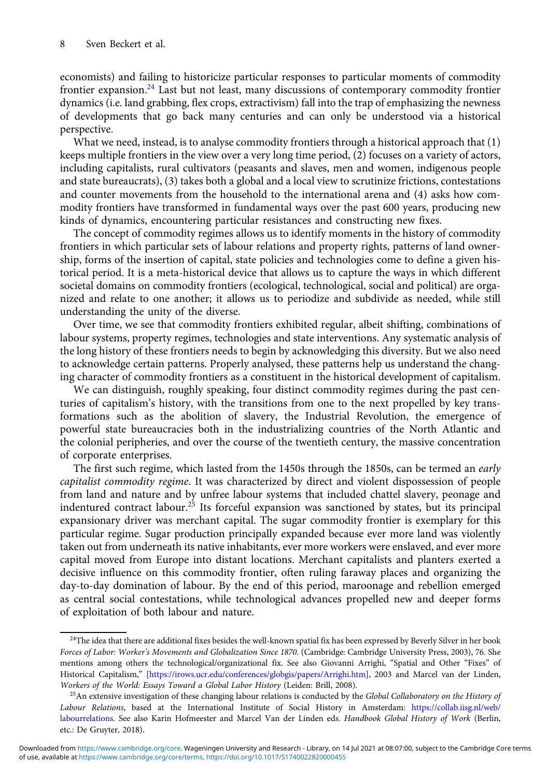economists) and failing to historicize particular responses to particular moments of commodity frontier expansion.24 Last but not least, many discussions of contemporary commodity frontier dynamics (i.e. land grabbing, flex crops, extractivism) fall into the trap of emphasizing the newness of developments that go back many centuries and can only be understood via a historical perspective.

What we need, instead, is to analyse commodity frontiers through a historical approach that (1) keeps multiple frontiers in the view over a very long time period, (2) focuses on a variety of actors, including capitalists, rural cultivators (peasants and slaves, men and women, indigenous people and state bureaucrats), (3) takes both a global and a local view to scrutinize frictions, contestations and counter movements from the household to the international arena and (4) asks how commodity frontiers have transformed in fundamental ways over the past 600 years, producing new kinds of dynamics, encountering particular resistances and constructing new fixes.

The concept of commodity regimes allows us to identify moments in the history of commodity frontiers in which particular sets of labour relations and property rights, patterns of land ownership, forms of the insertion of capital, state policies and technologies come to define a given historical period. It is a meta-historical device that allows us to capture the ways in which different societal domains on commodity frontiers (ecological, technological, social and political) are organized and relate to one another; it allows us to periodize and subdivide as needed, while still understanding the unity of the diverse.

Over time, we see that commodity frontiers exhibited regular, albeit shifting, combinations of labour systems, property regimes, technologies and state interventions. Any systematic analysis of the long history of these frontiers needs to begin by acknowledging this diversity. But we also need to acknowledge certain patterns. Properly analysed, these patterns help us understand the changing character of commodity frontiers as a constituent in the historical development of capitalism.

We can distinguish, roughly speaking, four distinct commodity regimes during the past centuries of capitalism's history, with the transitions from one to the next propelled by key transformations such as the abolition of slavery, the Industrial Revolution, the emergence of powerful state bureaucracies both in the industrializing countries of the North Atlantic and the colonial peripheries, and over the course of the twentieth century, the massive concentration of corporate enterprises.

The first such regime, which lasted from the 1450s through the 1850s, can be termed an *early* capitalist commodity regime. It was characterized by direct and violent dispossession of people from land and nature and by unfree labour systems that included chattel slavery, peonage and indentured contract labour.<sup>25</sup> Its forceful expansion was sanctioned by states, but its principal expansionary driver was merchant capital. The sugar commodity frontier is exemplary for this particular regime. Sugar production principally expanded because ever more land was violently taken out from underneath its native inhabitants, ever more workers were enslaved, and ever more capital moved from Europe into distant locations. Merchant capitalists and planters exerted a decisive influence on this commodity frontier, often ruling faraway places and organizing the day-to-day domination of labour. By the end of this period, maroonage and rebellion emerged as central social contestations, while technological advances propelled new and deeper forms of exploitation of both labour and nature.

<sup>&</sup>lt;sup>24</sup>The idea that there are additional fixes besides the well-known spatial fix has been expressed by Beverly Silver in her book Forces of Labor: Worker's Movements and Globalization Since 1870. (Cambridge: Cambridge University Press, 2003), 76. She mentions among others the technological/organizational fix. See also Giovanni Arrighi, "Spatial and Other "Fixes" of Historical Capitalism," [\[https://irows.ucr.edu/conferences/globgis/papers/Arrighi.htm](https://irows.ucr.edu/conferences/globgis/papers/Arrighi.htm)], 2003 and Marcel van der Linden, Workers of the World: Essays Toward a Global Labor History (Leiden: Brill, 2008).

 $^{25}$ An extensive investigation of these changing labour relations is conducted by the *Global Collaboratory on the History of* Labour Relations, based at the International Institute of Social History in Amsterdam: [https://collab.iisg.nl/web/](https://collab.iisg.nl/web/labourrelations) [labourrelations.](https://collab.iisg.nl/web/labourrelations) See also Karin Hofmeester and Marcel Van der Linden eds. Handbook Global History of Work (Berlin, etc.: De Gruyter, 2018).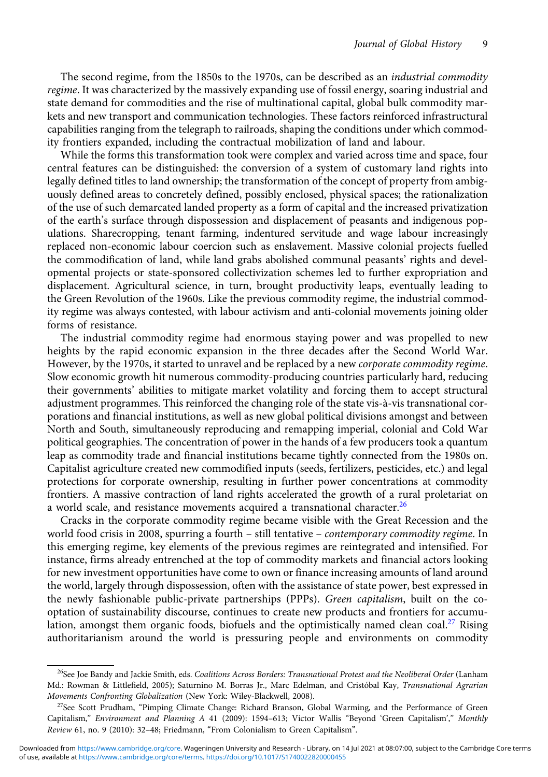The second regime, from the 1850s to the 1970s, can be described as an industrial commodity regime. It was characterized by the massively expanding use of fossil energy, soaring industrial and state demand for commodities and the rise of multinational capital, global bulk commodity markets and new transport and communication technologies. These factors reinforced infrastructural capabilities ranging from the telegraph to railroads, shaping the conditions under which commodity frontiers expanded, including the contractual mobilization of land and labour.

While the forms this transformation took were complex and varied across time and space, four central features can be distinguished: the conversion of a system of customary land rights into legally defined titles to land ownership; the transformation of the concept of property from ambiguously defined areas to concretely defined, possibly enclosed, physical spaces; the rationalization of the use of such demarcated landed property as a form of capital and the increased privatization of the earth's surface through dispossession and displacement of peasants and indigenous populations. Sharecropping, tenant farming, indentured servitude and wage labour increasingly replaced non-economic labour coercion such as enslavement. Massive colonial projects fuelled the commodification of land, while land grabs abolished communal peasants' rights and developmental projects or state-sponsored collectivization schemes led to further expropriation and displacement. Agricultural science, in turn, brought productivity leaps, eventually leading to the Green Revolution of the 1960s. Like the previous commodity regime, the industrial commodity regime was always contested, with labour activism and anti-colonial movements joining older forms of resistance.

The industrial commodity regime had enormous staying power and was propelled to new heights by the rapid economic expansion in the three decades after the Second World War. However, by the 1970s, it started to unravel and be replaced by a new corporate commodity regime. Slow economic growth hit numerous commodity-producing countries particularly hard, reducing their governments' abilities to mitigate market volatility and forcing them to accept structural adjustment programmes. This reinforced the changing role of the state vis-à-vis transnational corporations and financial institutions, as well as new global political divisions amongst and between North and South, simultaneously reproducing and remapping imperial, colonial and Cold War political geographies. The concentration of power in the hands of a few producers took a quantum leap as commodity trade and financial institutions became tightly connected from the 1980s on. Capitalist agriculture created new commodified inputs (seeds, fertilizers, pesticides, etc.) and legal protections for corporate ownership, resulting in further power concentrations at commodity frontiers. A massive contraction of land rights accelerated the growth of a rural proletariat on a world scale, and resistance movements acquired a transnational character.<sup>26</sup>

Cracks in the corporate commodity regime became visible with the Great Recession and the world food crisis in 2008, spurring a fourth - still tentative - contemporary commodity regime. In this emerging regime, key elements of the previous regimes are reintegrated and intensified. For instance, firms already entrenched at the top of commodity markets and financial actors looking for new investment opportunities have come to own or finance increasing amounts of land around the world, largely through dispossession, often with the assistance of state power, best expressed in the newly fashionable public-private partnerships (PPPs). Green capitalism, built on the cooptation of sustainability discourse, continues to create new products and frontiers for accumulation, amongst them organic foods, biofuels and the optimistically named clean coal.<sup>27</sup> Rising authoritarianism around the world is pressuring people and environments on commodity

<sup>&</sup>lt;sup>26</sup>See Joe Bandy and Jackie Smith, eds. Coalitions Across Borders: Transnational Protest and the Neoliberal Order (Lanham Md.: Rowman & Littlefield, 2005); Saturnino M. Borras Jr., Marc Edelman, and Cristóbal Kay, Transnational Agrarian Movements Confronting Globalization (New York: Wiley-Blackwell, 2008).

<sup>&</sup>lt;sup>27</sup>See Scott Prudham, "Pimping Climate Change: Richard Branson, Global Warming, and the Performance of Green Capitalism," Environment and Planning A 41 (2009): 1594–613; Victor Wallis "Beyond 'Green Capitalism'," Monthly Review 61, no. 9 (2010): 32–48; Friedmann, "From Colonialism to Green Capitalism".

of use, available at [https://www.cambridge.org/core/terms.](https://www.cambridge.org/core/terms) <https://doi.org/10.1017/S1740022820000455> Downloaded from [https://www.cambridge.org/core.](https://www.cambridge.org/core) Wageningen University and Research - Library, on 14 Jul 2021 at 08:07:00, subject to the Cambridge Core terms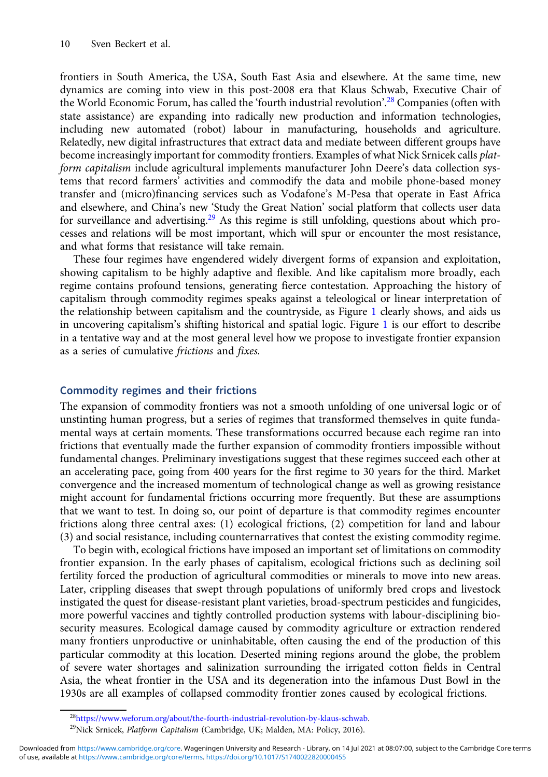frontiers in South America, the USA, South East Asia and elsewhere. At the same time, new dynamics are coming into view in this post-2008 era that Klaus Schwab, Executive Chair of the World Economic Forum, has called the 'fourth industrial revolution'. <sup>28</sup> Companies (often with state assistance) are expanding into radically new production and information technologies, including new automated (robot) labour in manufacturing, households and agriculture. Relatedly, new digital infrastructures that extract data and mediate between different groups have become increasingly important for commodity frontiers. Examples of what Nick Srnicek calls *plat*form capitalism include agricultural implements manufacturer John Deere's data collection systems that record farmers' activities and commodify the data and mobile phone-based money transfer and (micro)financing services such as Vodafone's M-Pesa that operate in East Africa and elsewhere, and China's new 'Study the Great Nation' social platform that collects user data for surveillance and advertising.<sup>29</sup> As this regime is still unfolding, questions about which processes and relations will be most important, which will spur or encounter the most resistance, and what forms that resistance will take remain.

These four regimes have engendered widely divergent forms of expansion and exploitation, showing capitalism to be highly adaptive and flexible. And like capitalism more broadly, each regime contains profound tensions, generating fierce contestation. Approaching the history of capitalism through commodity regimes speaks against a teleological or linear interpretation of the relationship between capitalism and the countryside, as Figure [1](#page-10-0) clearly shows, and aids us in uncovering capitalism's shifting historical and spatial logic. Figure [1](#page-10-0) is our effort to describe in a tentative way and at the most general level how we propose to investigate frontier expansion as a series of cumulative frictions and fixes.

## Commodity regimes and their frictions

The expansion of commodity frontiers was not a smooth unfolding of one universal logic or of unstinting human progress, but a series of regimes that transformed themselves in quite fundamental ways at certain moments. These transformations occurred because each regime ran into frictions that eventually made the further expansion of commodity frontiers impossible without fundamental changes. Preliminary investigations suggest that these regimes succeed each other at an accelerating pace, going from 400 years for the first regime to 30 years for the third. Market convergence and the increased momentum of technological change as well as growing resistance might account for fundamental frictions occurring more frequently. But these are assumptions that we want to test. In doing so, our point of departure is that commodity regimes encounter frictions along three central axes: (1) ecological frictions, (2) competition for land and labour (3) and social resistance, including counternarratives that contest the existing commodity regime.

To begin with, ecological frictions have imposed an important set of limitations on commodity frontier expansion. In the early phases of capitalism, ecological frictions such as declining soil fertility forced the production of agricultural commodities or minerals to move into new areas. Later, crippling diseases that swept through populations of uniformly bred crops and livestock instigated the quest for disease-resistant plant varieties, broad-spectrum pesticides and fungicides, more powerful vaccines and tightly controlled production systems with labour-disciplining biosecurity measures. Ecological damage caused by commodity agriculture or extraction rendered many frontiers unproductive or uninhabitable, often causing the end of the production of this particular commodity at this location. Deserted mining regions around the globe, the problem of severe water shortages and salinization surrounding the irrigated cotton fields in Central Asia, the wheat frontier in the USA and its degeneration into the infamous Dust Bowl in the 1930s are all examples of collapsed commodity frontier zones caused by ecological frictions.

<sup>2</sup>[8https://www.weforum.org/about/the-fourth-industrial-revolution-by-klaus-schwab.](https://www.weforum.org/about/the-fourth-industrial-revolution-by-klaus-schwab.)

<sup>&</sup>lt;sup>29</sup>Nick Srnicek, *Platform Capitalism* (Cambridge, UK; Malden, MA: Policy, 2016).

of use, available at [https://www.cambridge.org/core/terms.](https://www.cambridge.org/core/terms) <https://doi.org/10.1017/S1740022820000455> Downloaded from [https://www.cambridge.org/core.](https://www.cambridge.org/core) Wageningen University and Research - Library, on 14 Jul 2021 at 08:07:00, subject to the Cambridge Core terms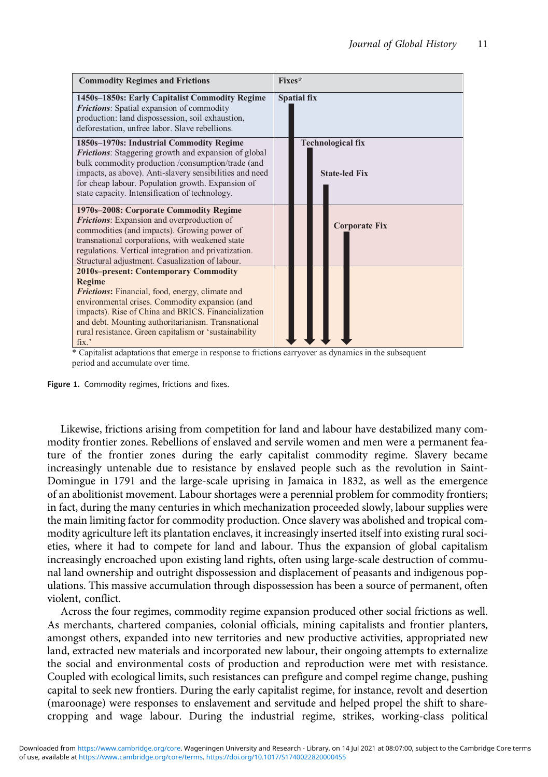<span id="page-10-0"></span>

\* Capitalist adaptations that emerge in response to frictions carryover as dynamics in the subsequent period and accumulate over time.



Likewise, frictions arising from competition for land and labour have destabilized many commodity frontier zones. Rebellions of enslaved and servile women and men were a permanent feature of the frontier zones during the early capitalist commodity regime. Slavery became increasingly untenable due to resistance by enslaved people such as the revolution in Saint-Domingue in 1791 and the large-scale uprising in Jamaica in 1832, as well as the emergence of an abolitionist movement. Labour shortages were a perennial problem for commodity frontiers; in fact, during the many centuries in which mechanization proceeded slowly, labour supplies were the main limiting factor for commodity production. Once slavery was abolished and tropical commodity agriculture left its plantation enclaves, it increasingly inserted itself into existing rural societies, where it had to compete for land and labour. Thus the expansion of global capitalism increasingly encroached upon existing land rights, often using large-scale destruction of communal land ownership and outright dispossession and displacement of peasants and indigenous populations. This massive accumulation through dispossession has been a source of permanent, often violent, conflict.

Across the four regimes, commodity regime expansion produced other social frictions as well. As merchants, chartered companies, colonial officials, mining capitalists and frontier planters, amongst others, expanded into new territories and new productive activities, appropriated new land, extracted new materials and incorporated new labour, their ongoing attempts to externalize the social and environmental costs of production and reproduction were met with resistance. Coupled with ecological limits, such resistances can prefigure and compel regime change, pushing capital to seek new frontiers. During the early capitalist regime, for instance, revolt and desertion (maroonage) were responses to enslavement and servitude and helped propel the shift to sharecropping and wage labour. During the industrial regime, strikes, working-class political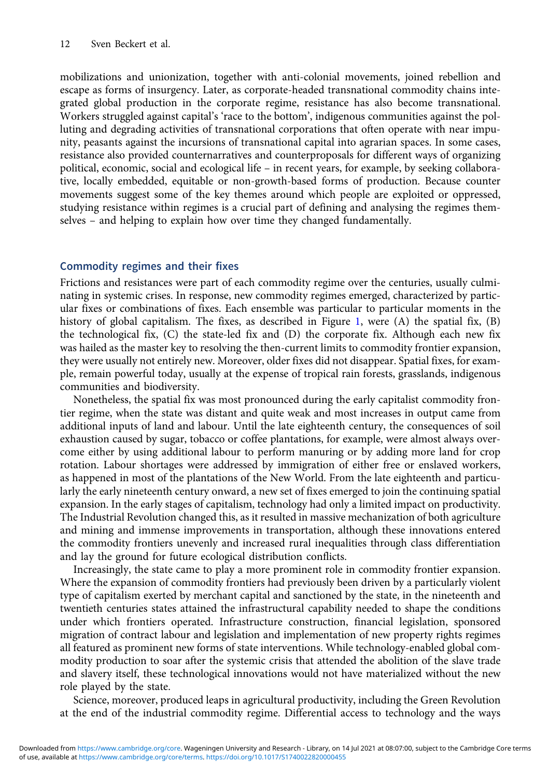mobilizations and unionization, together with anti-colonial movements, joined rebellion and escape as forms of insurgency. Later, as corporate-headed transnational commodity chains integrated global production in the corporate regime, resistance has also become transnational. Workers struggled against capital's 'race to the bottom', indigenous communities against the polluting and degrading activities of transnational corporations that often operate with near impunity, peasants against the incursions of transnational capital into agrarian spaces. In some cases, resistance also provided counternarratives and counterproposals for different ways of organizing political, economic, social and ecological life – in recent years, for example, by seeking collaborative, locally embedded, equitable or non-growth-based forms of production. Because counter movements suggest some of the key themes around which people are exploited or oppressed, studying resistance within regimes is a crucial part of defining and analysing the regimes themselves – and helping to explain how over time they changed fundamentally.

## Commodity regimes and their fixes

Frictions and resistances were part of each commodity regime over the centuries, usually culminating in systemic crises. In response, new commodity regimes emerged, characterized by particular fixes or combinations of fixes. Each ensemble was particular to particular moments in the history of global capitalism. The fixes, as described in Figure [1,](#page-10-0) were (A) the spatial fix, (B) the technological fix, (C) the state-led fix and (D) the corporate fix. Although each new fix was hailed as the master key to resolving the then-current limits to commodity frontier expansion, they were usually not entirely new. Moreover, older fixes did not disappear. Spatial fixes, for example, remain powerful today, usually at the expense of tropical rain forests, grasslands, indigenous communities and biodiversity.

Nonetheless, the spatial fix was most pronounced during the early capitalist commodity frontier regime, when the state was distant and quite weak and most increases in output came from additional inputs of land and labour. Until the late eighteenth century, the consequences of soil exhaustion caused by sugar, tobacco or coffee plantations, for example, were almost always overcome either by using additional labour to perform manuring or by adding more land for crop rotation. Labour shortages were addressed by immigration of either free or enslaved workers, as happened in most of the plantations of the New World. From the late eighteenth and particularly the early nineteenth century onward, a new set of fixes emerged to join the continuing spatial expansion. In the early stages of capitalism, technology had only a limited impact on productivity. The Industrial Revolution changed this, as it resulted in massive mechanization of both agriculture and mining and immense improvements in transportation, although these innovations entered the commodity frontiers unevenly and increased rural inequalities through class differentiation and lay the ground for future ecological distribution conflicts.

Increasingly, the state came to play a more prominent role in commodity frontier expansion. Where the expansion of commodity frontiers had previously been driven by a particularly violent type of capitalism exerted by merchant capital and sanctioned by the state, in the nineteenth and twentieth centuries states attained the infrastructural capability needed to shape the conditions under which frontiers operated. Infrastructure construction, financial legislation, sponsored migration of contract labour and legislation and implementation of new property rights regimes all featured as prominent new forms of state interventions. While technology-enabled global commodity production to soar after the systemic crisis that attended the abolition of the slave trade and slavery itself, these technological innovations would not have materialized without the new role played by the state.

Science, moreover, produced leaps in agricultural productivity, including the Green Revolution at the end of the industrial commodity regime. Differential access to technology and the ways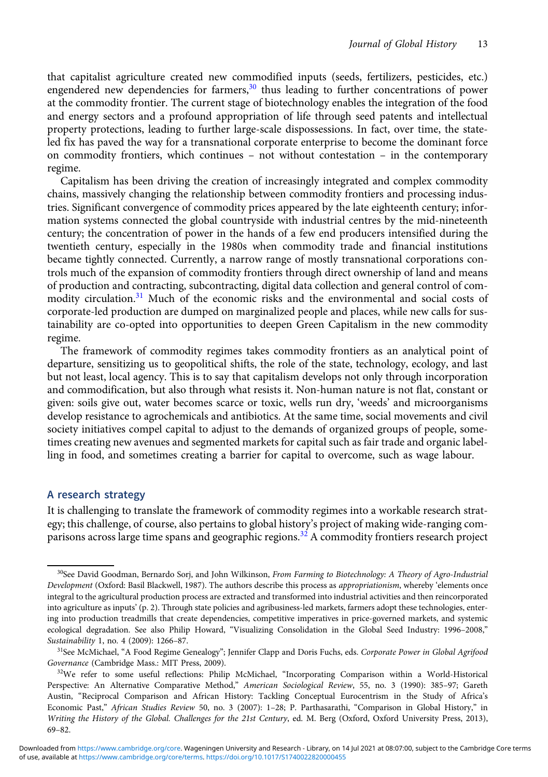that capitalist agriculture created new commodified inputs (seeds, fertilizers, pesticides, etc.) engendered new dependencies for farmers, $30$  thus leading to further concentrations of power at the commodity frontier. The current stage of biotechnology enables the integration of the food and energy sectors and a profound appropriation of life through seed patents and intellectual property protections, leading to further large-scale dispossessions. In fact, over time, the stateled fix has paved the way for a transnational corporate enterprise to become the dominant force on commodity frontiers, which continues – not without contestation – in the contemporary regime.

Capitalism has been driving the creation of increasingly integrated and complex commodity chains, massively changing the relationship between commodity frontiers and processing industries. Significant convergence of commodity prices appeared by the late eighteenth century; information systems connected the global countryside with industrial centres by the mid-nineteenth century; the concentration of power in the hands of a few end producers intensified during the twentieth century, especially in the 1980s when commodity trade and financial institutions became tightly connected. Currently, a narrow range of mostly transnational corporations controls much of the expansion of commodity frontiers through direct ownership of land and means of production and contracting, subcontracting, digital data collection and general control of commodity circulation.<sup>31</sup> Much of the economic risks and the environmental and social costs of corporate-led production are dumped on marginalized people and places, while new calls for sustainability are co-opted into opportunities to deepen Green Capitalism in the new commodity regime.

The framework of commodity regimes takes commodity frontiers as an analytical point of departure, sensitizing us to geopolitical shifts, the role of the state, technology, ecology, and last but not least, local agency. This is to say that capitalism develops not only through incorporation and commodification, but also through what resists it. Non-human nature is not flat, constant or given: soils give out, water becomes scarce or toxic, wells run dry, 'weeds' and microorganisms develop resistance to agrochemicals and antibiotics. At the same time, social movements and civil society initiatives compel capital to adjust to the demands of organized groups of people, sometimes creating new avenues and segmented markets for capital such as fair trade and organic labelling in food, and sometimes creating a barrier for capital to overcome, such as wage labour.

## A research strategy

It is challenging to translate the framework of commodity regimes into a workable research strategy; this challenge, of course, also pertains to global history's project of making wide-ranging comparisons across large time spans and geographic regions.<sup>32</sup> A commodity frontiers research project

<sup>&</sup>lt;sup>30</sup>See David Goodman, Bernardo Sorj, and John Wilkinson, From Farming to Biotechnology: A Theory of Agro-Industrial Development (Oxford: Basil Blackwell, 1987). The authors describe this process as appropriationism, whereby 'elements once integral to the agricultural production process are extracted and transformed into industrial activities and then reincorporated into agriculture as inputs' (p. 2). Through state policies and agribusiness-led markets, farmers adopt these technologies, entering into production treadmills that create dependencies, competitive imperatives in price-governed markets, and systemic ecological degradation. See also Philip Howard, "Visualizing Consolidation in the Global Seed Industry: 1996–2008," Sustainability 1, no. 4 (2009): 1266–87.

<sup>&</sup>lt;sup>31</sup>See McMichael, "A Food Regime Genealogy"; Jennifer Clapp and Doris Fuchs, eds. Corporate Power in Global Agrifood Governance (Cambridge Mass.: MIT Press, 2009).

<sup>&</sup>lt;sup>32</sup>We refer to some useful reflections: Philip McMichael, "Incorporating Comparison within a World-Historical Perspective: An Alternative Comparative Method," American Sociological Review, 55, no. 3 (1990): 385-97; Gareth Austin, "Reciprocal Comparison and African History: Tackling Conceptual Eurocentrism in the Study of Africa's Economic Past," African Studies Review 50, no. 3 (2007): 1-28; P. Parthasarathi, "Comparison in Global History," in Writing the History of the Global. Challenges for the 21st Century, ed. M. Berg (Oxford, Oxford University Press, 2013), 69–82.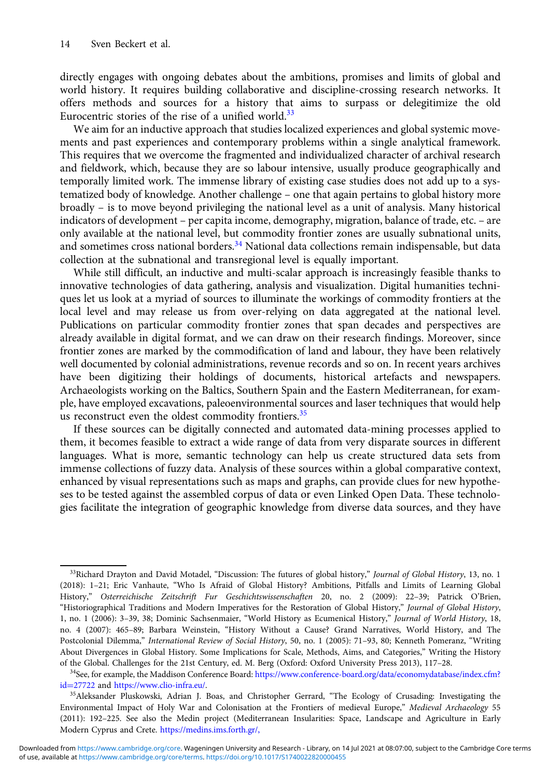directly engages with ongoing debates about the ambitions, promises and limits of global and world history. It requires building collaborative and discipline-crossing research networks. It offers methods and sources for a history that aims to surpass or delegitimize the old Eurocentric stories of the rise of a unified world.<sup>33</sup>

We aim for an inductive approach that studies localized experiences and global systemic movements and past experiences and contemporary problems within a single analytical framework. This requires that we overcome the fragmented and individualized character of archival research and fieldwork, which, because they are so labour intensive, usually produce geographically and temporally limited work. The immense library of existing case studies does not add up to a systematized body of knowledge. Another challenge – one that again pertains to global history more broadly – is to move beyond privileging the national level as a unit of analysis. Many historical indicators of development – per capita income, demography, migration, balance of trade, etc. – are only available at the national level, but commodity frontier zones are usually subnational units, and sometimes cross national borders.<sup>34</sup> National data collections remain indispensable, but data collection at the subnational and transregional level is equally important.

While still difficult, an inductive and multi-scalar approach is increasingly feasible thanks to innovative technologies of data gathering, analysis and visualization. Digital humanities techniques let us look at a myriad of sources to illuminate the workings of commodity frontiers at the local level and may release us from over-relying on data aggregated at the national level. Publications on particular commodity frontier zones that span decades and perspectives are already available in digital format, and we can draw on their research findings. Moreover, since frontier zones are marked by the commodification of land and labour, they have been relatively well documented by colonial administrations, revenue records and so on. In recent years archives have been digitizing their holdings of documents, historical artefacts and newspapers. Archaeologists working on the Baltics, Southern Spain and the Eastern Mediterranean, for example, have employed excavations, paleoenvironmental sources and laser techniques that would help us reconstruct even the oldest commodity frontiers. $35$ 

If these sources can be digitally connected and automated data-mining processes applied to them, it becomes feasible to extract a wide range of data from very disparate sources in different languages. What is more, semantic technology can help us create structured data sets from immense collections of fuzzy data. Analysis of these sources within a global comparative context, enhanced by visual representations such as maps and graphs, can provide clues for new hypotheses to be tested against the assembled corpus of data or even Linked Open Data. These technologies facilitate the integration of geographic knowledge from diverse data sources, and they have

 $33$ Richard Drayton and David Motadel, "Discussion: The futures of global history," Journal of Global History, 13, no. 1 (2018): 1–21; Eric Vanhaute, "Who Is Afraid of Global History? Ambitions, Pitfalls and Limits of Learning Global History," Osterreichische Zeitschrift Fur Geschichtswissenschaften 20, no. 2 (2009): 22–39; Patrick O'Brien, "Historiographical Traditions and Modern Imperatives for the Restoration of Global History," Journal of Global History, 1, no. 1 (2006): 3–39, 38; Dominic Sachsenmaier, "World History as Ecumenical History," Journal of World History, 18, no. 4 (2007): 465–89; Barbara Weinstein, "History Without a Cause? Grand Narratives, World History, and The Postcolonial Dilemma," International Review of Social History, 50, no. 1 (2005): 71-93, 80; Kenneth Pomeranz, "Writing About Divergences in Global History. Some Implications for Scale, Methods, Aims, and Categories," Writing the History of the Global. Challenges for the 21st Century, ed. M. Berg (Oxford: Oxford University Press 2013), 117–28.

<sup>&</sup>lt;sup>34</sup>See, for example, the Maddison Conference Board: [https://www.conference-board.org/data/economydatabase/index.cfm?](https://www.conference-board.org/data/economydatabase/index.cfm?id%3d27722) [id](https://www.conference-board.org/data/economydatabase/index.cfm?id%3d27722)=[27722](https://www.conference-board.org/data/economydatabase/index.cfm?id%3d27722) and <https://www.clio-infra.eu/.>

<sup>35</sup>Aleksander Pluskowski, Adrian J. Boas, and Christopher Gerrard, "The Ecology of Crusading: Investigating the Environmental Impact of Holy War and Colonisation at the Frontiers of medieval Europe," Medieval Archaeology 55 (2011): 192–225. See also the Medin project (Mediterranean Insularities: Space, Landscape and Agriculture in Early Modern Cyprus and Crete. <https://medins.ims.forth.gr/,>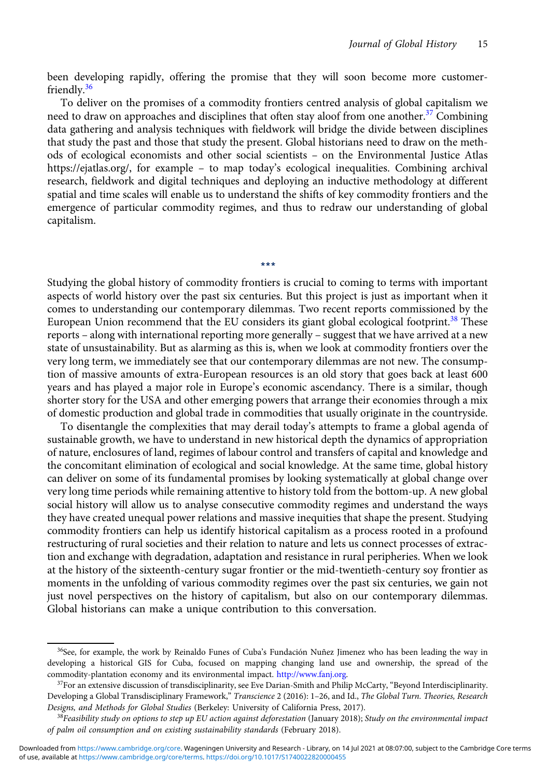been developing rapidly, offering the promise that they will soon become more customerfriendly.<sup>36</sup>

To deliver on the promises of a commodity frontiers centred analysis of global capitalism we need to draw on approaches and disciplines that often stay aloof from one another.<sup>37</sup> Combining data gathering and analysis techniques with fieldwork will bridge the divide between disciplines that study the past and those that study the present. Global historians need to draw on the methods of ecological economists and other social scientists – on the Environmental Justice Atlas https://ejatlas.org/, for example – to map today's ecological inequalities. Combining archival research, fieldwork and digital techniques and deploying an inductive methodology at different spatial and time scales will enable us to understand the shifts of key commodity frontiers and the emergence of particular commodity regimes, and thus to redraw our understanding of global capitalism.

Studying the global history of commodity frontiers is crucial to coming to terms with important aspects of world history over the past six centuries. But this project is just as important when it comes to understanding our contemporary dilemmas. Two recent reports commissioned by the European Union recommend that the EU considers its giant global ecological footprint.<sup>38</sup> These reports – along with international reporting more generally – suggest that we have arrived at a new state of unsustainability. But as alarming as this is, when we look at commodity frontiers over the very long term, we immediately see that our contemporary dilemmas are not new. The consumption of massive amounts of extra-European resources is an old story that goes back at least 600 years and has played a major role in Europe's economic ascendancy. There is a similar, though shorter story for the USA and other emerging powers that arrange their economies through a mix of domestic production and global trade in commodities that usually originate in the countryside.

\*\*\*

To disentangle the complexities that may derail today's attempts to frame a global agenda of sustainable growth, we have to understand in new historical depth the dynamics of appropriation of nature, enclosures of land, regimes of labour control and transfers of capital and knowledge and the concomitant elimination of ecological and social knowledge. At the same time, global history can deliver on some of its fundamental promises by looking systematically at global change over very long time periods while remaining attentive to history told from the bottom-up. A new global social history will allow us to analyse consecutive commodity regimes and understand the ways they have created unequal power relations and massive inequities that shape the present. Studying commodity frontiers can help us identify historical capitalism as a process rooted in a profound restructuring of rural societies and their relation to nature and lets us connect processes of extraction and exchange with degradation, adaptation and resistance in rural peripheries. When we look at the history of the sixteenth-century sugar frontier or the mid-twentieth-century soy frontier as moments in the unfolding of various commodity regimes over the past six centuries, we gain not just novel perspectives on the history of capitalism, but also on our contemporary dilemmas. Global historians can make a unique contribution to this conversation.

<sup>&</sup>lt;sup>36</sup>See, for example, the work by Reinaldo Funes of Cuba's Fundación Nuñez Jimenez who has been leading the way in developing a historical GIS for Cuba, focused on mapping changing land use and ownership, the spread of the commodity-plantation economy and its environmental impact. [http://www.fanj.org.](http://www.fanj.org)

 $37$ For an extensive discussion of transdisciplinarity, see Eve Darian-Smith and Philip McCarty, "Beyond Interdisciplinarity. Developing a Global Transdisciplinary Framework," Transcience 2 (2016): 1-26, and Id., The Global Turn. Theories, Research Designs, and Methods for Global Studies (Berkeley: University of California Press, 2017).

 $38Fe$ asibility study on options to step up EU action against deforestation (January 2018); Study on the environmental impact of palm oil consumption and on existing sustainability standards (February 2018).

of use, available at [https://www.cambridge.org/core/terms.](https://www.cambridge.org/core/terms) <https://doi.org/10.1017/S1740022820000455> Downloaded from [https://www.cambridge.org/core.](https://www.cambridge.org/core) Wageningen University and Research - Library, on 14 Jul 2021 at 08:07:00, subject to the Cambridge Core terms